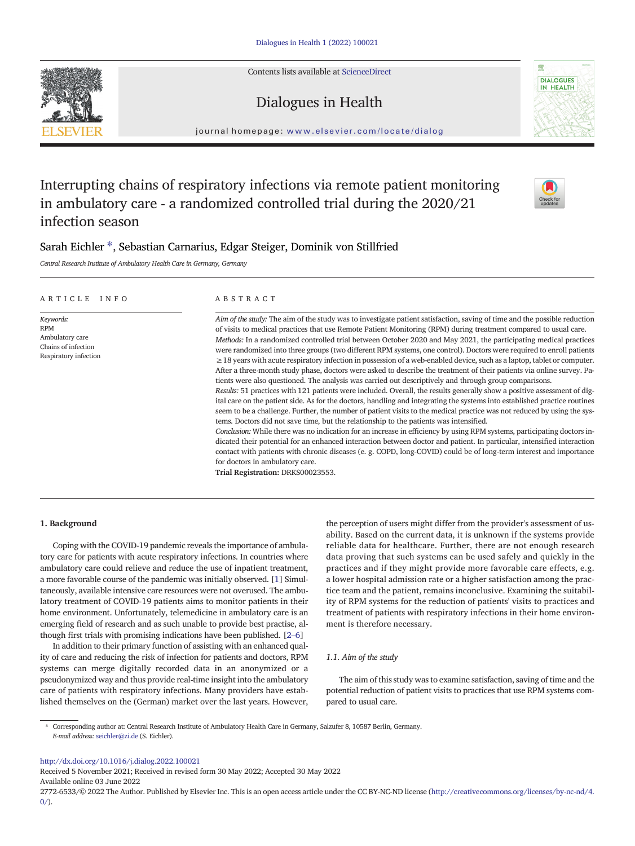Contents lists available at [ScienceDirect](http://www.sciencedirect.com/science/journal/)







journal homepage: <www.elsevier.com/locate/dialog>

# Interrupting chains of respiratory infections via remote patient monitoring in ambulatory care - a randomized controlled trial during the 2020/21 infection season



# Sarah Eichler ⁎ , Sebastian Carnarius, Edgar Steiger, Dominik von Stillfried

Central Research Institute of Ambulatory Health Care in Germany, Germany

| ARTICLE<br>INFO                                                                            | ABSTRACT                                                                                                                                                                                                                                                                                                                                                                                                                                                                                                                                                                                                                                                                                                                                                                                                                                                                                                                                                                                                                                                                                                                                                                                                                                                                                                                                                                                                                                                                                                                                                                                                                                                                                                                                                                                        |  |  |  |
|--------------------------------------------------------------------------------------------|-------------------------------------------------------------------------------------------------------------------------------------------------------------------------------------------------------------------------------------------------------------------------------------------------------------------------------------------------------------------------------------------------------------------------------------------------------------------------------------------------------------------------------------------------------------------------------------------------------------------------------------------------------------------------------------------------------------------------------------------------------------------------------------------------------------------------------------------------------------------------------------------------------------------------------------------------------------------------------------------------------------------------------------------------------------------------------------------------------------------------------------------------------------------------------------------------------------------------------------------------------------------------------------------------------------------------------------------------------------------------------------------------------------------------------------------------------------------------------------------------------------------------------------------------------------------------------------------------------------------------------------------------------------------------------------------------------------------------------------------------------------------------------------------------|--|--|--|
| Keywords:<br><b>RPM</b><br>Ambulatory care<br>Chains of infection<br>Respiratory infection | Aim of the study: The aim of the study was to investigate patient satisfaction, saving of time and the possible reduction<br>of visits to medical practices that use Remote Patient Monitoring (RPM) during treatment compared to usual care.<br>Methods: In a randomized controlled trial between October 2020 and May 2021, the participating medical practices<br>were randomized into three groups (two different RPM systems, one control). Doctors were required to enroll patients<br>$\geq$ 18 years with acute respiratory infection in possession of a web-enabled device, such as a laptop, tablet or computer.<br>After a three-month study phase, doctors were asked to describe the treatment of their patients via online survey. Pa-<br>tients were also questioned. The analysis was carried out descriptively and through group comparisons.<br>Results: 51 practices with 121 patients were included. Overall, the results generally show a positive assessment of dig-<br>ital care on the patient side. As for the doctors, handling and integrating the systems into established practice routines<br>seem to be a challenge. Further, the number of patient visits to the medical practice was not reduced by using the sys-<br>tems. Doctors did not save time, but the relationship to the patients was intensified.<br>Conclusion: While there was no indication for an increase in efficiency by using RPM systems, participating doctors in-<br>dicated their potential for an enhanced interaction between doctor and patient. In particular, intensified interaction<br>contact with patients with chronic diseases (e.g. COPD, long-COVID) could be of long-term interest and importance<br>for doctors in ambulatory care.<br>Trial Registration: DRKS00023553. |  |  |  |

# 1. Background

Coping with the COVID-19 pandemic reveals the importance of ambulatory care for patients with acute respiratory infections. In countries where ambulatory care could relieve and reduce the use of inpatient treatment, a more favorable course of the pandemic was initially observed. [[1\]](#page-3-0) Simultaneously, available intensive care resources were not overused. The ambulatory treatment of COVID-19 patients aims to monitor patients in their home environment. Unfortunately, telemedicine in ambulatory care is an emerging field of research and as such unable to provide best practise, although first trials with promising indications have been published. [2–[6\]](#page-3-0)

In addition to their primary function of assisting with an enhanced quality of care and reducing the risk of infection for patients and doctors, RPM systems can merge digitally recorded data in an anonymized or a pseudonymized way and thus provide real-time insight into the ambulatory care of patients with respiratory infections. Many providers have established themselves on the (German) market over the last years. However,

the perception of users might differ from the provider's assessment of usability. Based on the current data, it is unknown if the systems provide reliable data for healthcare. Further, there are not enough research data proving that such systems can be used safely and quickly in the practices and if they might provide more favorable care effects, e.g. a lower hospital admission rate or a higher satisfaction among the practice team and the patient, remains inconclusive. Examining the suitability of RPM systems for the reduction of patients' visits to practices and treatment of patients with respiratory infections in their home environment is therefore necessary.

# 1.1. Aim of the study

The aim of this study was to examine satisfaction, saving of time and the potential reduction of patient visits to practices that use RPM systems compared to usual care.

<http://dx.doi.org/10.1016/j.dialog.2022.100021>

Received 5 November 2021; Received in revised form 30 May 2022; Accepted 30 May 2022 Available online 03 June 2022

<sup>⁎</sup> Corresponding author at: Central Research Institute of Ambulatory Health Care in Germany, Salzufer 8, 10587 Berlin, Germany. E-mail address: [seichler@zi.de](mailto:seichler@zi.de) (S. Eichler).

<sup>2772-6533/© 2022</sup> The Author. Published by Elsevier Inc. This is an open access article under the CC BY-NC-ND license ([http://creativecommons.org/licenses/by-nc-nd/4.](http://creativecommons.org/licenses/by-nc-nd/4.0/)  $0/$ ).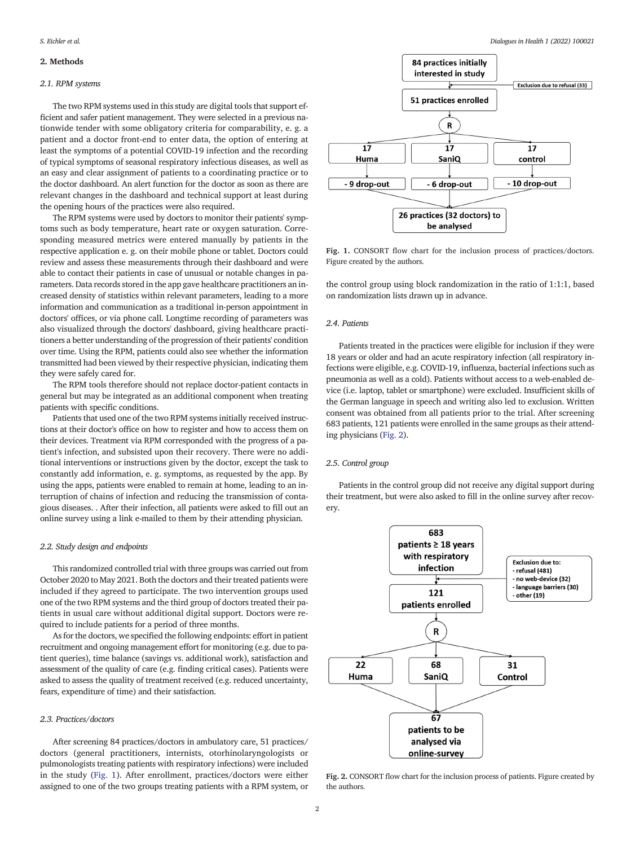# <span id="page-1-0"></span>2. Methods

# 2.1. RPM systems

The two RPM systems used in this study are digital tools that support efficient and safer patient management. They were selected in a previous nationwide tender with some obligatory criteria for comparability, e. g. a patient and a doctor front-end to enter data, the option of entering at least the symptoms of a potential COVID-19 infection and the recording of typical symptoms of seasonal respiratory infectious diseases, as well as an easy and clear assignment of patients to a coordinating practice or to the doctor dashboard. An alert function for the doctor as soon as there are relevant changes in the dashboard and technical support at least during the opening hours of the practices were also required.

The RPM systems were used by doctors to monitor their patients' symptoms such as body temperature, heart rate or oxygen saturation. Corresponding measured metrics were entered manually by patients in the respective application e. g. on their mobile phone or tablet. Doctors could review and assess these measurements through their dashboard and were able to contact their patients in case of unusual or notable changes in parameters. Data records stored in the app gave healthcare practitioners an increased density of statistics within relevant parameters, leading to a more information and communication as a traditional in-person appointment in doctors' offices, or via phone call. Longtime recording of parameters was also visualized through the doctors' dashboard, giving healthcare practitioners a better understanding of the progression of their patients' condition over time. Using the RPM, patients could also see whether the information transmitted had been viewed by their respective physician, indicating them they were safely cared for.

The RPM tools therefore should not replace doctor-patient contacts in general but may be integrated as an additional component when treating patients with specific conditions.

Patients that used one of the two RPM systems initially received instructions at their doctor's office on how to register and how to access them on their devices. Treatment via RPM corresponded with the progress of a patient's infection, and subsisted upon their recovery. There were no additional interventions or instructions given by the doctor, except the task to constantly add information, e. g. symptoms, as requested by the app. By using the apps, patients were enabled to remain at home, leading to an interruption of chains of infection and reducing the transmission of contagious diseases. . After their infection, all patients were asked to fill out an online survey using a link e-mailed to them by their attending physician.

# 2.2. Study design and endpoints

This randomized controlled trial with three groups was carried out from October 2020 to May 2021. Both the doctors and their treated patients were included if they agreed to participate. The two intervention groups used one of the two RPM systems and the third group of doctors treated their patients in usual care without additional digital support. Doctors were required to include patients for a period of three months.

As for the doctors, we specified the following endpoints: effort in patient recruitment and ongoing management effort for monitoring (e.g. due to patient queries), time balance (savings vs. additional work), satisfaction and assessment of the quality of care (e.g. finding critical cases). Patients were asked to assess the quality of treatment received (e.g. reduced uncertainty, fears, expenditure of time) and their satisfaction.

# 2.3. Practices/doctors

After screening 84 practices/doctors in ambulatory care, 51 practices/ doctors (general practitioners, internists, otorhinolaryngologists or pulmonologists treating patients with respiratory infections) were included in the study (Fig. 1). After enrollment, practices/doctors were either assigned to one of the two groups treating patients with a RPM system, or



Fig. 1. CONSORT flow chart for the inclusion process of practices/doctors. Figure created by the authors.

the control group using block randomization in the ratio of 1:1:1, based on randomization lists drawn up in advance.

# 2.4. Patients

Patients treated in the practices were eligible for inclusion if they were 18 years or older and had an acute respiratory infection (all respiratory infections were eligible, e.g. COVID-19, influenza, bacterial infections such as pneumonia as well as a cold). Patients without access to a web-enabled device (i.e. laptop, tablet or smartphone) were excluded. Insufficient skills of the German language in speech and writing also led to exclusion. Written consent was obtained from all patients prior to the trial. After screening 683 patients, 121 patients were enrolled in the same groups as their attending physicians (Fig. 2).

# 2.5. Control group

Patients in the control group did not receive any digital support during their treatment, but were also asked to fill in the online survey after recovery.



Fig. 2. CONSORT flow chart for the inclusion process of patients. Figure created by the authors.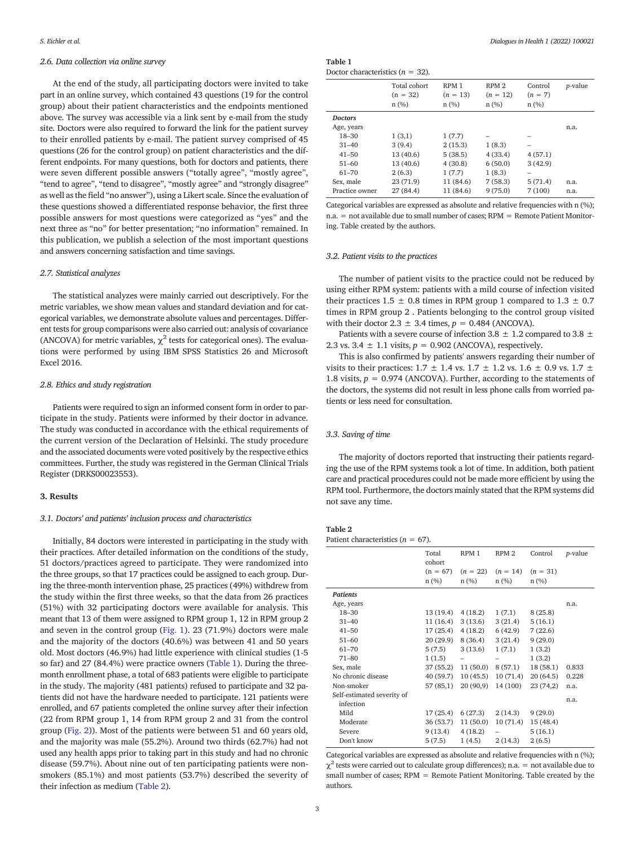# 2.6. Data collection via online survey

At the end of the study, all participating doctors were invited to take part in an online survey, which contained 43 questions (19 for the control group) about their patient characteristics and the endpoints mentioned above. The survey was accessible via a link sent by e-mail from the study site. Doctors were also required to forward the link for the patient survey to their enrolled patients by e-mail. The patient survey comprised of 45 questions (26 for the control group) on patient characteristics and the different endpoints. For many questions, both for doctors and patients, there were seven different possible answers ("totally agree", "mostly agree", "tend to agree", "tend to disagree", "mostly agree" and "strongly disagree" as well as the field "no answer"), using a Likert scale. Since the evaluation of these questions showed a differentiated response behavior, the first three possible answers for most questions were categorized as "yes" and the next three as "no" for better presentation; "no information" remained. In this publication, we publish a selection of the most important questions and answers concerning satisfaction and time savings.

# 2.7. Statistical analyzes

The statistical analyzes were mainly carried out descriptively. For the metric variables, we show mean values and standard deviation and for categorical variables, we demonstrate absolute values and percentages. Different tests for group comparisons were also carried out: analysis of covariance (ANCOVA) for metric variables,  $\chi^2$  tests for categorical ones). The evaluations were performed by using IBM SPSS Statistics 26 and Microsoft Excel 2016.

# 2.8. Ethics and study registration

Patients were required to sign an informed consent form in order to participate in the study. Patients were informed by their doctor in advance. The study was conducted in accordance with the ethical requirements of the current version of the Declaration of Helsinki. The study procedure and the associated documents were voted positively by the respective ethics committees. Further, the study was registered in the German Clinical Trials Register (DRKS00023553).

# 3. Results

### 3.1. Doctors' and patients' inclusion process and characteristics

Initially, 84 doctors were interested in participating in the study with their practices. After detailed information on the conditions of the study, 51 doctors/practices agreed to participate. They were randomized into the three groups, so that 17 practices could be assigned to each group. During the three-month intervention phase, 25 practices (49%) withdrew from the study within the first three weeks, so that the data from 26 practices (51%) with 32 participating doctors were available for analysis. This meant that 13 of them were assigned to RPM group 1, 12 in RPM group 2 and seven in the control group ([Fig. 1](#page-1-0)). 23 (71.9%) doctors were male and the majority of the doctors (40.6%) was between 41 and 50 years old. Most doctors (46.9%) had little experience with clinical studies (1-5 so far) and 27 (84.4%) were practice owners (Table 1). During the threemonth enrollment phase, a total of 683 patients were eligible to participate in the study. The majority (481 patients) refused to participate and 32 patients did not have the hardware needed to participate. 121 patients were enrolled, and 67 patients completed the online survey after their infection (22 from RPM group 1, 14 from RPM group 2 and 31 from the control group [\(Fig. 2](#page-1-0))). Most of the patients were between 51 and 60 years old, and the majority was male (55.2%). Around two thirds (62.7%) had not used any health apps prior to taking part in this study and had no chronic disease (59.7%). About nine out of ten participating patients were nonsmokers (85.1%) and most patients (53.7%) described the severity of their infection as medium (Table 2).

Table 1 Doctor characteristics ( $n = 32$ ).

|                | Total cohort<br>$(n = 32)$<br>n(%) | RPM <sub>1</sub><br>$(n = 13)$<br>n(%) | RPM <sub>2</sub><br>$(n = 12)$<br>n(%) | Control<br>$(n = 7)$<br>n(%) | <i>p</i> -value |
|----------------|------------------------------------|----------------------------------------|----------------------------------------|------------------------------|-----------------|
| <b>Doctors</b> |                                    |                                        |                                        |                              |                 |
| Age, years     |                                    |                                        |                                        |                              | n.a.            |
| $18 - 30$      | 1(3,1)                             | 1(7.7)                                 |                                        |                              |                 |
| $31 - 40$      | 3(9.4)                             | 2(15.3)                                | 1(8.3)                                 |                              |                 |
| $41 - 50$      | 13(40.6)                           | 5(38.5)                                | 4(33.4)                                | 4(57.1)                      |                 |
| $51 - 60$      | 13 (40.6)                          | 4(30.8)                                | 6(50.0)                                | 3(42.9)                      |                 |
| $61 - 70$      | 2(6.3)                             | 1(7.7)                                 | 1(8.3)                                 | -                            |                 |
| Sex, male      | 23(71.9)                           | 11 (84.6)                              | 7(58.3)                                | 5(71.4)                      | n.a.            |
| Practice owner | 27 (84.4)                          | 11 (84.6)                              | 9(75.0)                                | 7(100)                       | n.a.            |

Categorical variables are expressed as absolute and relative frequencies with n (%); n.a. = not available due to small number of cases; RPM = Remote Patient Monitoring. Table created by the authors.

# 3.2. Patient visits to the practices

The number of patient visits to the practice could not be reduced by using either RPM system: patients with a mild course of infection visited their practices  $1.5 \pm 0.8$  times in RPM group 1 compared to  $1.3 \pm 0.7$ times in RPM group 2 . Patients belonging to the control group visited with their doctor 2.3  $\pm$  3.4 times,  $p = 0.484$  (ANCOVA).

Patients with a severe course of infection 3.8  $\pm$  1.2 compared to 3.8  $\pm$ 2.3 vs. 3.4  $\pm$  1.1 visits,  $p = 0.902$  (ANCOVA), respectively.

This is also confirmed by patients' answers regarding their number of visits to their practices: 1.7  $\pm$  1.4 vs. 1.7  $\pm$  1.2 vs. 1.6  $\pm$  0.9 vs. 1.7  $\pm$ 1.8 visits,  $p = 0.974$  (ANCOVA). Further, according to the statements of the doctors, the systems did not result in less phone calls from worried patients or less need for consultation.

# 3.3. Saving of time

The majority of doctors reported that instructing their patients regarding the use of the RPM systems took a lot of time. In addition, both patient care and practical procedures could not be made more efficient by using the RPM tool. Furthermore, the doctors mainly stated that the RPM systems did not save any time.

# Table 2

| Patient characteristics $(n = 67)$ . |  |  |  |  |
|--------------------------------------|--|--|--|--|
|--------------------------------------|--|--|--|--|

|                            | Total<br>cohort    | RPM 1              | RPM <sub>2</sub>   | Control            | <i>p</i> -value |
|----------------------------|--------------------|--------------------|--------------------|--------------------|-----------------|
|                            | $(n = 67)$<br>n(%) | $(n = 22)$<br>n(%) | $(n = 14)$<br>n(%) | $(n = 31)$<br>n(%) |                 |
| <b>Patients</b>            |                    |                    |                    |                    |                 |
| Age, years                 |                    |                    |                    |                    | n.a.            |
| 18-30                      | 13 (19.4)          | 4(18.2)            | 1(7.1)             | 8(25.8)            |                 |
| $31 - 40$                  | 11(16.4)           | 3(13.6)            | 3(21.4)            | 5(16.1)            |                 |
| $41 - 50$                  | 17(25.4)           | 4(18.2)            | 6(42.9)            | 7(22.6)            |                 |
| $51 - 60$                  | 20 (29.9)          | 8(36.4)            | 3(21.4)            | 9(29.0)            |                 |
| $61 - 70$                  | 5(7.5)             | 3(13.6)            | 1(7.1)             | 1(3.2)             |                 |
| $71 - 80$                  | 1(1.5)             |                    |                    | 1(3.2)             |                 |
| Sex, male                  | 37 (55.2)          | 11(50.0)           | 8(57.1)            | 18(58.1)           | 0.833           |
| No chronic disease         | 40 (59.7)          | 10(45.5)           | 10(71.4)           | 20(64.5)           | 0.228           |
| Non-smoker                 | 57 (85,1)          | 20(90,9)           | 14 (100)           | 23(74,2)           | n.a.            |
| Self-estimated severity of |                    |                    |                    |                    |                 |
| infection                  |                    |                    |                    |                    | n.a.            |
| Mild                       | 17(25.4)           | 6(27.3)            | 2(14.3)            | 9(29.0)            |                 |
| Moderate                   | 36 (53.7)          | 11(50.0)           | 10 (71.4)          | 15 (48.4)          |                 |
| Severe                     | 9(13.4)            | 4(18.2)            |                    | 5(16.1)            |                 |
| Don't know                 | 5(7.5)             | 1(4.5)             | 2(14.3)            | 2(6.5)             |                 |

Categorical variables are expressed as absolute and relative frequencies with n (%);  $\chi^2$  tests were carried out to calculate group differences); n.a. = not available due to small number of cases; RPM = Remote Patient Monitoring. Table created by the authors.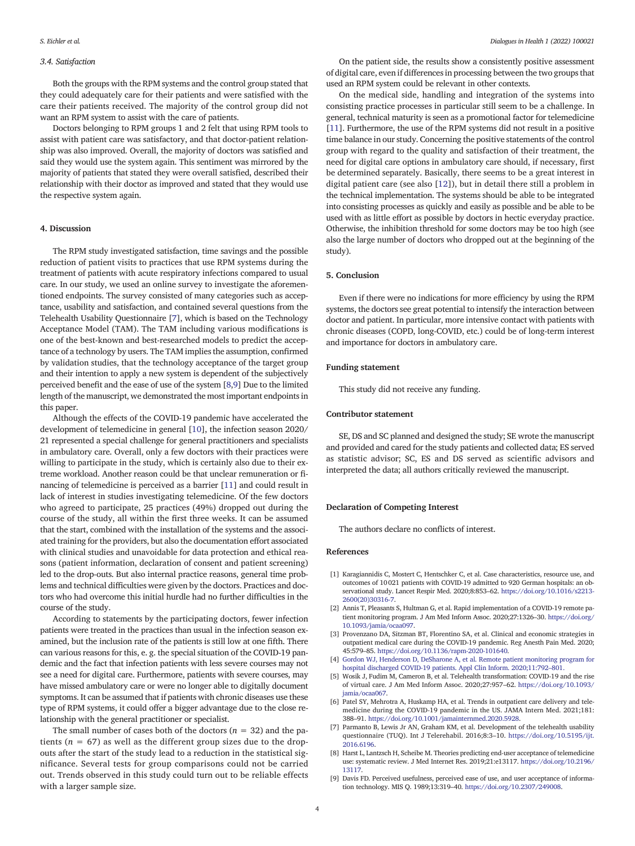# <span id="page-3-0"></span>3.4. Satisfaction

Both the groups with the RPM systems and the control group stated that they could adequately care for their patients and were satisfied with the care their patients received. The majority of the control group did not want an RPM system to assist with the care of patients.

Doctors belonging to RPM groups 1 and 2 felt that using RPM tools to assist with patient care was satisfactory, and that doctor-patient relationship was also improved. Overall, the majority of doctors was satisfied and said they would use the system again. This sentiment was mirrored by the majority of patients that stated they were overall satisfied, described their relationship with their doctor as improved and stated that they would use the respective system again.

# 4. Discussion

The RPM study investigated satisfaction, time savings and the possible reduction of patient visits to practices that use RPM systems during the treatment of patients with acute respiratory infections compared to usual care. In our study, we used an online survey to investigate the aforementioned endpoints. The survey consisted of many categories such as acceptance, usability and satisfaction, and contained several questions from the Telehealth Usability Questionnaire [7], which is based on the Technology Acceptance Model (TAM). The TAM including various modifications is one of the best-known and best-researched models to predict the acceptance of a technology by users. The TAM implies the assumption, confirmed by validation studies, that the technology acceptance of the target group and their intention to apply a new system is dependent of the subjectively perceived benefit and the ease of use of the system [8,9] Due to the limited length of the manuscript, we demonstrated the most important endpoints in this paper.

Although the effects of the COVID-19 pandemic have accelerated the development of telemedicine in general [\[10](#page-4-0)], the infection season 2020/ 21 represented a special challenge for general practitioners and specialists in ambulatory care. Overall, only a few doctors with their practices were willing to participate in the study, which is certainly also due to their extreme workload. Another reason could be that unclear remuneration or financing of telemedicine is perceived as a barrier [\[11](#page-4-0)] and could result in lack of interest in studies investigating telemedicine. Of the few doctors who agreed to participate, 25 practices (49%) dropped out during the course of the study, all within the first three weeks. It can be assumed that the start, combined with the installation of the systems and the associated training for the providers, but also the documentation effort associated with clinical studies and unavoidable for data protection and ethical reasons (patient information, declaration of consent and patient screening) led to the drop-outs. But also internal practice reasons, general time problems and technical difficulties were given by the doctors. Practices and doctors who had overcome this initial hurdle had no further difficulties in the course of the study.

According to statements by the participating doctors, fewer infection patients were treated in the practices than usual in the infection season examined, but the inclusion rate of the patients is still low at one fifth. There can various reasons for this, e. g. the special situation of the COVID-19 pandemic and the fact that infection patients with less severe courses may not see a need for digital care. Furthermore, patients with severe courses, may have missed ambulatory care or were no longer able to digitally document symptoms. It can be assumed that if patients with chronic diseases use these type of RPM systems, it could offer a bigger advantage due to the close relationship with the general practitioner or specialist.

The small number of cases both of the doctors ( $n = 32$ ) and the patients ( $n = 67$ ) as well as the different group sizes due to the dropouts after the start of the study lead to a reduction in the statistical significance. Several tests for group comparisons could not be carried out. Trends observed in this study could turn out to be reliable effects with a larger sample size.

On the patient side, the results show a consistently positive assessment of digital care, even if differences in processing between the two groups that used an RPM system could be relevant in other contexts.

On the medical side, handling and integration of the systems into consisting practice processes in particular still seem to be a challenge. In general, technical maturity is seen as a promotional factor for telemedicine [\[11](#page-4-0)]. Furthermore, the use of the RPM systems did not result in a positive time balance in our study. Concerning the positive statements of the control group with regard to the quality and satisfaction of their treatment, the need for digital care options in ambulatory care should, if necessary, first be determined separately. Basically, there seems to be a great interest in digital patient care (see also [\[12](#page-4-0)]), but in detail there still a problem in the technical implementation. The systems should be able to be integrated into consisting processes as quickly and easily as possible and be able to be used with as little effort as possible by doctors in hectic everyday practice. Otherwise, the inhibition threshold for some doctors may be too high (see also the large number of doctors who dropped out at the beginning of the study).

# 5. Conclusion

Even if there were no indications for more efficiency by using the RPM systems, the doctors see great potential to intensify the interaction between doctor and patient. In particular, more intensive contact with patients with chronic diseases (COPD, long-COVID, etc.) could be of long-term interest and importance for doctors in ambulatory care.

# Funding statement

This study did not receive any funding.

# Contributor statement

SE, DS and SC planned and designed the study; SE wrote the manuscript and provided and cared for the study patients and collected data; ES served as statistic advisor; SC, ES and DS served as scientific advisors and interpreted the data; all authors critically reviewed the manuscript.

#### Declaration of Competing Interest

The authors declare no conflicts of interest.

#### References

- [1] Karagiannidis C, Mostert C, Hentschker C, et al. Case characteristics, resource use, and outcomes of 10 021 patients with COVID-19 admitted to 920 German hospitals: an observational study. Lancet Respir Med. 2020;8:853–62. [https://doi.org/10.1016/s2213-](mailto:seichler@zi.de) [2600\(20\)30316-7.](mailto:seichler@zi.de)
- [2] Annis T, Pleasants S, Hultman G, et al. Rapid implementation of a COVID-19 remote patient monitoring program. J Am Med Inform Assoc. 2020;27:1326–30. [https://doi.org/](https://doi.org/10.1093/jamia/ocaa097) [10.1093/jamia/ocaa097.](https://doi.org/10.1093/jamia/ocaa097)
- [3] Provenzano DA, Sitzman BT, Florentino SA, et al. Clinical and economic strategies in outpatient medical care during the COVID-19 pandemic. Reg Anesth Pain Med. 2020; 45:579–85. <https://doi.org/10.1136/rapm-2020-101640>.
- [4] [Gordon WJ, Henderson D, DeSharone A, et al. Remote patient monitoring program for](http://refhub.elsevier.com/S2772-6533(22)00021-1/rf0020) [hospital discharged COVID-19 patients. Appl Clin Inform. 2020;11:792](http://refhub.elsevier.com/S2772-6533(22)00021-1/rf0020)–801.
- [5] Wosik J, Fudim M, Cameron B, et al. Telehealth transformation: COVID-19 and the rise of virtual care. J Am Med Inform Assoc. 2020;27:957–62. [https://doi.org/10.1093/](https://doi.org/10.1093/jamia/ocaa067) [jamia/ocaa067](https://doi.org/10.1093/jamia/ocaa067).
- [6] Patel SY, Mehrotra A, Huskamp HA, et al. Trends in outpatient care delivery and telemedicine during the COVID-19 pandemic in the US. JAMA Intern Med. 2021;181: 388–91. [https://doi.org/10.1001/jamainternmed.2020.5928.](https://doi.org/10.1001/jamainternmed.2020.5928)
- [7] Parmanto B, Lewis Jr AN, Graham KM, et al. Development of the telehealth usability questionnaire (TUQ). Int J Telerehabil. 2016;8:3–10. [https://doi.org/10.5195/ijt.](https://doi.org/10.5195/ijt.2016.6196) [2016.6196](https://doi.org/10.5195/ijt.2016.6196).
- [8] Harst L, Lantzsch H, Scheibe M. Theories predicting end-user acceptance of telemedicine use: systematic review. J Med Internet Res. 2019;21:e13117. [https://doi.org/10.2196/](https://doi.org/10.2196/13117) [13117.](https://doi.org/10.2196/13117)
- [9] Davis FD. Perceived usefulness, perceived ease of use, and user acceptance of information technology. MIS Q. 1989;13:319–40. <https://doi.org/10.2307/249008>.